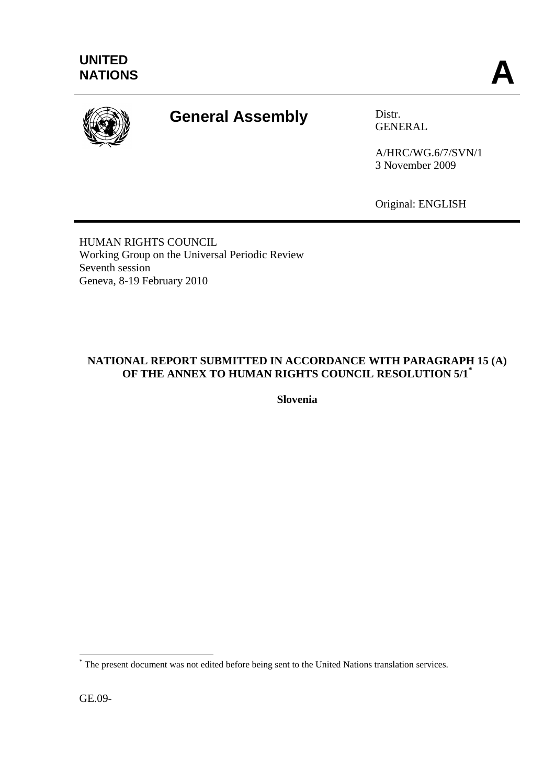

# **General Assembly** Distr.

GENERAL

A/HRC/WG.6/7/SVN/1 3 November 2009

Original: ENGLISH

HUMAN RIGHTS COUNCIL Working Group on the Universal Periodic Review Seventh session Geneva, 8-19 February 2010

# **NATIONAL REPORT SUBMITTED IN ACCORDANCE WITH PARAGRAPH 15 (A) OF THE ANNEX TO HUMAN RIGHTS COUNCIL RESOLUTION 5/1\***

**Slovenia**

GE.09-

<u>.</u>

<sup>\*</sup> The present document was not edited before being sent to the United Nations translation services.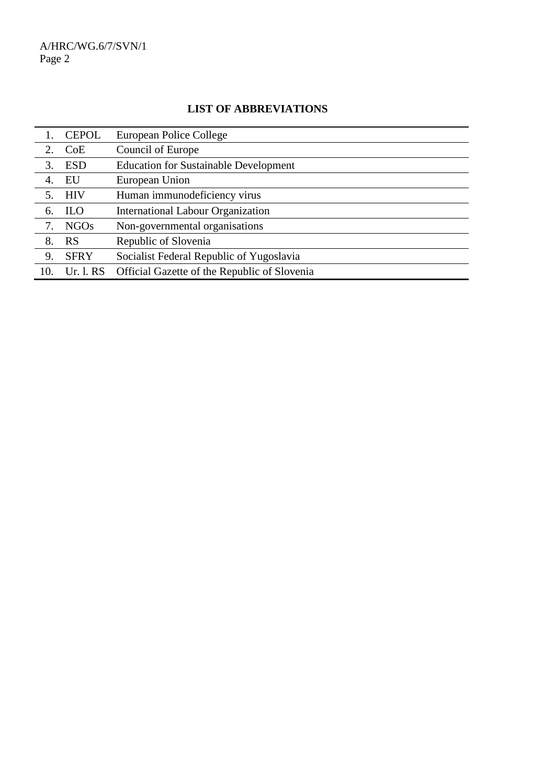# **LIST OF ABBREVIATIONS**

|     | <b>CEPOL</b> | European Police College                      |
|-----|--------------|----------------------------------------------|
| 2.  | CoE          | Council of Europe                            |
| 3.  | <b>ESD</b>   | <b>Education for Sustainable Development</b> |
| 4.  | EU           | European Union                               |
| 5.  | <b>HIV</b>   | Human immunodeficiency virus                 |
| 6.  | <b>ILO</b>   | <b>International Labour Organization</b>     |
| 7.  | NGOs         | Non-governmental organisations               |
| 8.  | <b>RS</b>    | Republic of Slovenia                         |
| 9.  | <b>SFRY</b>  | Socialist Federal Republic of Yugoslavia     |
| 10. | Ur. 1. RS    | Official Gazette of the Republic of Slovenia |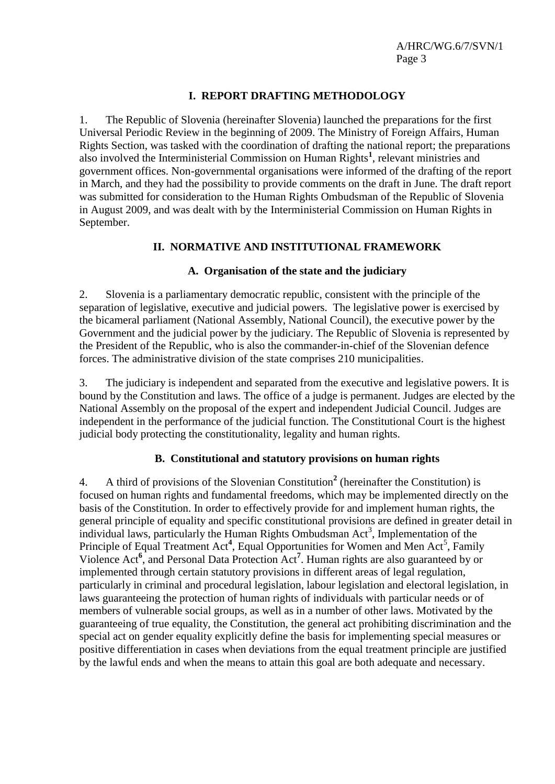## **I. REPORT DRAFTING METHODOLOGY**

1. The Republic of Slovenia (hereinafter Slovenia) launched the preparations for the first Universal Periodic Review in the beginning of 2009. The Ministry of Foreign Affairs, Human Rights Section, was tasked with the coordination of drafting the national report; the preparations also involved the Interministerial Commission on Human Rights**<sup>1</sup>** , relevant ministries and government offices. Non-governmental organisations were informed of the drafting of the report in March, and they had the possibility to provide comments on the draft in June. The draft report was submitted for consideration to the Human Rights Ombudsman of the Republic of Slovenia in August 2009, and was dealt with by the Interministerial Commission on Human Rights in September.

## **II. NORMATIVE AND INSTITUTIONAL FRAMEWORK**

## **A. Organisation of the state and the judiciary**

2. Slovenia is a parliamentary democratic republic, consistent with the principle of the separation of legislative, executive and judicial powers. The legislative power is exercised by the bicameral parliament (National Assembly, National Council), the executive power by the Government and the judicial power by the judiciary. The Republic of Slovenia is represented by the President of the Republic, who is also the commander-in-chief of the Slovenian defence forces. The administrative division of the state comprises 210 municipalities.

3. The judiciary is independent and separated from the executive and legislative powers. It is bound by the Constitution and laws. The office of a judge is permanent. Judges are elected by the National Assembly on the proposal of the expert and independent Judicial Council. Judges are independent in the performance of the judicial function. The Constitutional Court is the highest judicial body protecting the constitutionality, legality and human rights.

## **B. Constitutional and statutory provisions on human rights**

4. A third of provisions of the Slovenian Constitution**<sup>2</sup>** (hereinafter the Constitution) is focused on human rights and fundamental freedoms, which may be implemented directly on the basis of the Constitution. In order to effectively provide for and implement human rights, the general principle of equality and specific constitutional provisions are defined in greater detail in  $\overline{\mathbf{r}}$  individual laws, particularly the Human Rights Ombudsman Act<sup>3</sup>, Implementation of the Principle of Equal Treatment Act<sup>4</sup>, Equal Opportunities for Women and Men Act<sup>5</sup>, Family Violence Act<sup>6</sup>, and Personal Data Protection Act<sup>7</sup>. Human rights are also guaranteed by or implemented through certain statutory provisions in different areas of legal regulation, particularly in criminal and procedural legislation, labour legislation and electoral legislation, in laws guaranteeing the protection of human rights of individuals with particular needs or of members of vulnerable social groups, as well as in a number of other laws. Motivated by the guaranteeing of true equality, the Constitution, the general act prohibiting discrimination and the special act on gender equality explicitly define the basis for implementing special measures or positive differentiation in cases when deviations from the equal treatment principle are justified by the lawful ends and when the means to attain this goal are both adequate and necessary.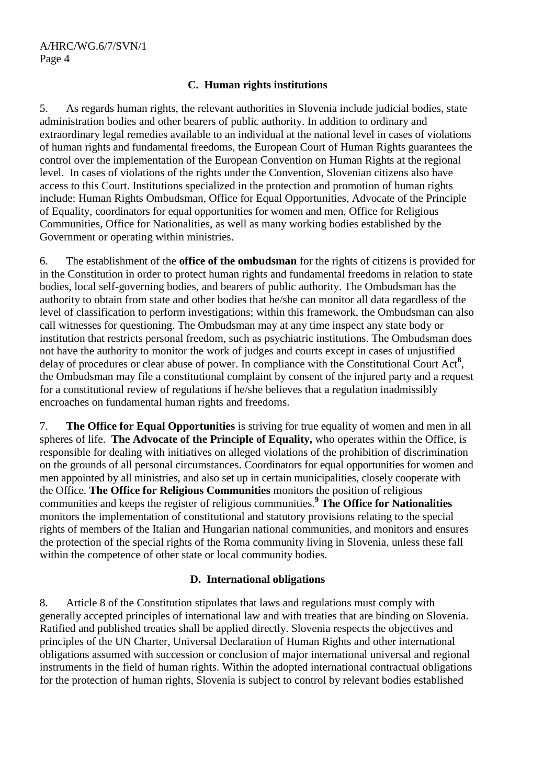## **C. Human rights institutions**

5. As regards human rights, the relevant authorities in Slovenia include judicial bodies, state administration bodies and other bearers of public authority. In addition to ordinary and extraordinary legal remedies available to an individual at the national level in cases of violations of human rights and fundamental freedoms, the European Court of Human Rights guarantees the control over the implementation of the European Convention on Human Rights at the regional level. In cases of violations of the rights under the Convention, Slovenian citizens also have access to this Court. Institutions specialized in the protection and promotion of human rights include: Human Rights Ombudsman, Office for Equal Opportunities, Advocate of the Principle of Equality, coordinators for equal opportunities for women and men, Office for Religious Communities, Office for Nationalities, as well as many working bodies established by the Government or operating within ministries.

6. The establishment of the **office of the ombudsman** for the rights of citizens is provided for in the Constitution in order to protect human rights and fundamental freedoms in relation to state bodies, local self-governing bodies, and bearers of public authority. The Ombudsman has the authority to obtain from state and other bodies that he/she can monitor all data regardless of the level of classification to perform investigations; within this framework, the Ombudsman can also call witnesses for questioning. The Ombudsman may at any time inspect any state body or institution that restricts personal freedom, such as psychiatric institutions. The Ombudsman does not have the authority to monitor the work of judges and courts except in cases of unjustified delay of procedures or clear abuse of power. In compliance with the Constitutional Court Act**<sup>8</sup>** , the Ombudsman may file a constitutional complaint by consent of the injured party and a request for a constitutional review of regulations if he/she believes that a regulation inadmissibly encroaches on fundamental human rights and freedoms.

7. **The Office for Equal Opportunities** is striving for true equality of women and men in all spheres of life. **The Advocate of the Principle of Equality,** who operates within the Office, is responsible for dealing with initiatives on alleged violations of the prohibition of discrimination on the grounds of all personal circumstances. Coordinators for equal opportunities for women and men appointed by all ministries, and also set up in certain municipalities, closely cooperate with the Office. **The Office for Religious Communities** monitors the position of religious communities and keeps the register of religious communities.**<sup>9</sup> The Office for Nationalities** monitors the implementation of constitutional and statutory provisions relating to the special rights of members of the Italian and Hungarian national communities, and monitors and ensures the protection of the special rights of the Roma community living in Slovenia, unless these fall within the competence of other state or local community bodies.

## **D. International obligations**

8. Article 8 of the Constitution stipulates that laws and regulations must comply with generally accepted principles of international law and with treaties that are binding on Slovenia. Ratified and published treaties shall be applied directly. Slovenia respects the objectives and principles of the UN Charter, Universal Declaration of Human Rights and other international obligations assumed with succession or conclusion of major international universal and regional instruments in the field of human rights. Within the adopted international contractual obligations for the protection of human rights, Slovenia is subject to control by relevant bodies established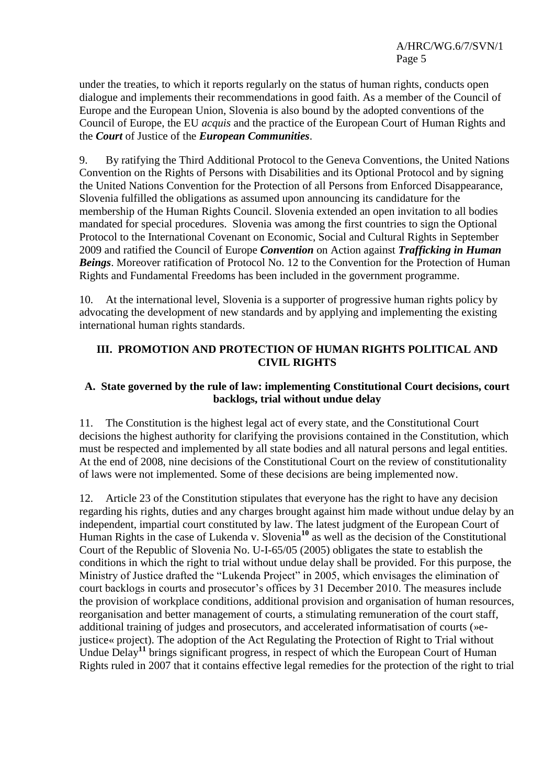under the treaties, to which it reports regularly on the status of human rights, conducts open dialogue and implements their recommendations in good faith. As a member of the Council of Europe and the European Union, Slovenia is also bound by the adopted conventions of the Council of Europe, the EU *acquis* and the practice of the European Court of Human Rights and the *Court* of Justice of the *European Communities*.

9. By ratifying the Third Additional Protocol to the Geneva Conventions, the United Nations Convention on the Rights of Persons with Disabilities and its Optional Protocol and by signing the United Nations Convention for the Protection of all Persons from Enforced Disappearance, Slovenia fulfilled the obligations as assumed upon announcing its candidature for the membership of the Human Rights Council. Slovenia extended an open invitation to all bodies mandated for special procedures. Slovenia was among the first countries to sign the Optional Protocol to the International Covenant on Economic, Social and Cultural Rights in September 2009 and ratified the Council of Europe *Convention* on Action against *Trafficking in Human Beings*. Moreover ratification of Protocol No. 12 to the Convention for the Protection of Human Rights and Fundamental Freedoms has been included in the government programme.

10. At the international level, Slovenia is a supporter of progressive human rights policy by advocating the development of new standards and by applying and implementing the existing international human rights standards.

#### **III. PROMOTION AND PROTECTION OF HUMAN RIGHTS POLITICAL AND CIVIL RIGHTS**

#### **A. State governed by the rule of law: implementing Constitutional Court decisions, court backlogs, trial without undue delay**

11. The Constitution is the highest legal act of every state, and the Constitutional Court decisions the highest authority for clarifying the provisions contained in the Constitution, which must be respected and implemented by all state bodies and all natural persons and legal entities. At the end of 2008, nine decisions of the Constitutional Court on the review of constitutionality of laws were not implemented. Some of these decisions are being implemented now.

12. Article 23 of the Constitution stipulates that everyone has the right to have any decision regarding his rights, duties and any charges brought against him made without undue delay by an independent, impartial court constituted by law. The latest judgment of the European Court of Human Rights in the case of Lukenda v. Slovenia**<sup>10</sup>** as well as the decision of the Constitutional Court of the Republic of Slovenia No. U-I-65/05 (2005) obligates the state to establish the conditions in which the right to trial without undue delay shall be provided. For this purpose, the Ministry of Justice drafted the "Lukenda Project" in 2005, which envisages the elimination of court backlogs in courts and prosecutor's offices by 31 December 2010. The measures include the provision of workplace conditions, additional provision and organisation of human resources, reorganisation and better management of courts, a stimulating remuneration of the court staff, additional training of judges and prosecutors, and accelerated informatisation of courts (»ejustice« project). The adoption of the Act Regulating the Protection of Right to Trial without Undue Delay**<sup>11</sup>** brings significant progress, in respect of which the European Court of Human Rights ruled in 2007 that it contains effective legal remedies for the protection of the right to trial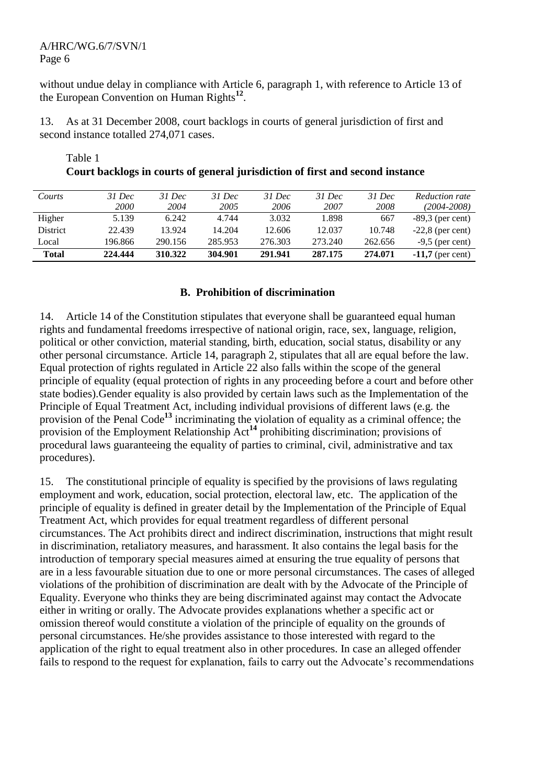without undue delay in compliance with Article 6, paragraph 1, with reference to Article 13 of the European Convention on Human Rights**<sup>12</sup>** .

13. As at 31 December 2008, court backlogs in courts of general jurisdiction of first and second instance totalled 274,071 cases.

| Courts          | $31$ Dec    | 31 Dec  | $31$ Dec | $31$ Dec | $31$ Dec | $31$ Dec | Reduction rate     |
|-----------------|-------------|---------|----------|----------|----------|----------|--------------------|
|                 | <i>2000</i> | 2004    | 2005     | 2006     | 2007     | 2008     | (2004-2008)        |
| Higher          | 5.139       | 6.242   | 4.744    | 3.032    | 1.898    | 667      | $-89,3$ (per cent) |
| <b>District</b> | 22.439      | 13.924  | 14.204   | 12.606   | 12.037   | 10.748   | $-22,8$ (per cent) |
| Local           | 196.866     | 290.156 | 285.953  | 276.303  | 273.240  | 262.656  | $-9.5$ (per cent)  |
| <b>Total</b>    | 224,444     | 310.322 | 304.901  | 291.941  | 287.175  | 274.071  | $-11,7$ (per cent) |

## Table 1 **Court backlogs in courts of general jurisdiction of first and second instance**

## **B. Prohibition of discrimination**

14. Article 14 of the Constitution stipulates that everyone shall be guaranteed equal human rights and fundamental freedoms irrespective of national origin, race, sex, language, religion, political or other conviction, material standing, birth, education, social status, disability or any other personal circumstance. Article 14, paragraph 2, stipulates that all are equal before the law. Equal protection of rights regulated in Article 22 also falls within the scope of the general principle of equality (equal protection of rights in any proceeding before a court and before other state bodies).Gender equality is also provided by certain laws such as the Implementation of the Principle of Equal Treatment Act, including individual provisions of different laws (e.g. the provision of the Penal Code**<sup>13</sup>** incriminating the violation of equality as a criminal offence; the provision of the Employment Relationship Act**<sup>14</sup>** prohibiting discrimination; provisions of procedural laws guaranteeing the equality of parties to criminal, civil, administrative and tax procedures).

15. The constitutional principle of equality is specified by the provisions of laws regulating employment and work, education, social protection, electoral law, etc. The application of the principle of equality is defined in greater detail by the Implementation of the Principle of Equal Treatment Act, which provides for equal treatment regardless of different personal circumstances. The Act prohibits direct and indirect discrimination, instructions that might result in discrimination, retaliatory measures, and harassment. It also contains the legal basis for the introduction of temporary special measures aimed at ensuring the true equality of persons that are in a less favourable situation due to one or more personal circumstances. The cases of alleged violations of the prohibition of discrimination are dealt with by the Advocate of the Principle of Equality. Everyone who thinks they are being discriminated against may contact the Advocate either in writing or orally. The Advocate provides explanations whether a specific act or omission thereof would constitute a violation of the principle of equality on the grounds of personal circumstances. He/she provides assistance to those interested with regard to the application of the right to equal treatment also in other procedures. In case an alleged offender fails to respond to the request for explanation, fails to carry out the Advocate's recommendations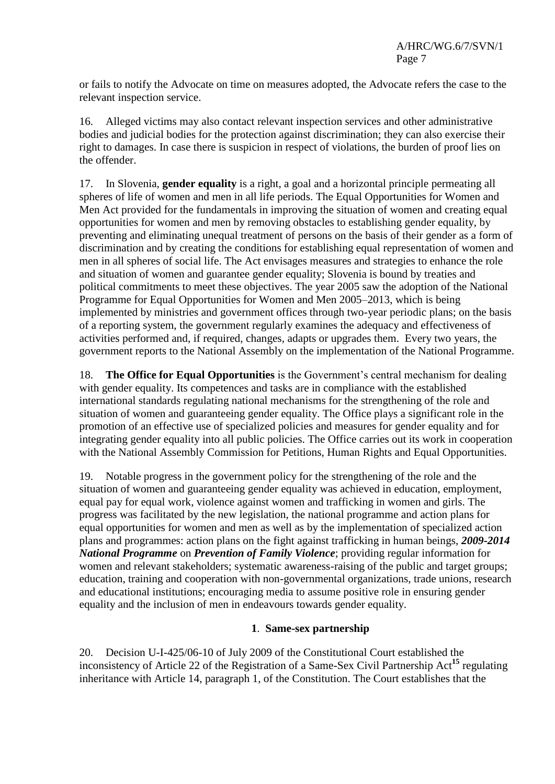or fails to notify the Advocate on time on measures adopted, the Advocate refers the case to the relevant inspection service.

16. Alleged victims may also contact relevant inspection services and other administrative bodies and judicial bodies for the protection against discrimination; they can also exercise their right to damages. In case there is suspicion in respect of violations, the burden of proof lies on the offender.

17. In Slovenia, **gender equality** is a right, a goal and a horizontal principle permeating all spheres of life of women and men in all life periods. The Equal Opportunities for Women and Men Act provided for the fundamentals in improving the situation of women and creating equal opportunities for women and men by removing obstacles to establishing gender equality, by preventing and eliminating unequal treatment of persons on the basis of their gender as a form of discrimination and by creating the conditions for establishing equal representation of women and men in all spheres of social life. The Act envisages measures and strategies to enhance the role and situation of women and guarantee gender equality; Slovenia is bound by treaties and political commitments to meet these objectives. The year 2005 saw the adoption of the National Programme for Equal Opportunities for Women and Men 2005–2013, which is being implemented by ministries and government offices through two-year periodic plans; on the basis of a reporting system, the government regularly examines the adequacy and effectiveness of activities performed and, if required, changes, adapts or upgrades them. Every two years, the government reports to the National Assembly on the implementation of the National Programme.

18. **The Office for Equal Opportunities** is the Government's central mechanism for dealing with gender equality. Its competences and tasks are in compliance with the established international standards regulating national mechanisms for the strengthening of the role and situation of women and guaranteeing gender equality. The Office plays a significant role in the promotion of an effective use of specialized policies and measures for gender equality and for integrating gender equality into all public policies. The Office carries out its work in cooperation with the National Assembly Commission for Petitions, Human Rights and Equal Opportunities.

19. Notable progress in the government policy for the strengthening of the role and the situation of women and guaranteeing gender equality was achieved in education, employment, equal pay for equal work, violence against women and trafficking in women and girls. The progress was facilitated by the new legislation, the national programme and action plans for equal opportunities for women and men as well as by the implementation of specialized action plans and programmes: action plans on the fight against trafficking in human beings, *2009***-***2014 National Programme* on *Prevention of Family Violence*; providing regular information for women and relevant stakeholders; systematic awareness-raising of the public and target groups; education, training and cooperation with non-governmental organizations, trade unions, research and educational institutions; encouraging media to assume positive role in ensuring gender equality and the inclusion of men in endeavours towards gender equality.

# **1**. **Same-sex partnership**

20. Decision U-I-425/06-10 of July 2009 of the Constitutional Court established the inconsistency of Article 22 of the Registration of a Same-Sex Civil Partnership Act**<sup>15</sup>** regulating inheritance with Article 14, paragraph 1, of the Constitution. The Court establishes that the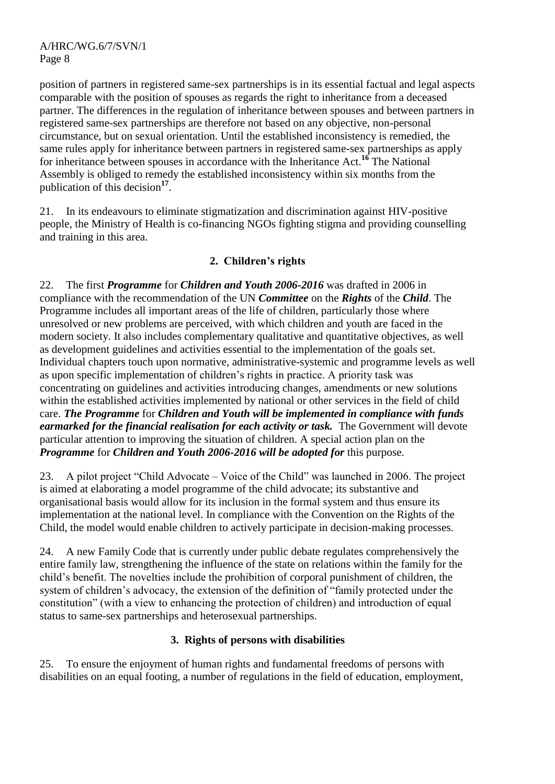position of partners in registered same-sex partnerships is in its essential factual and legal aspects comparable with the position of spouses as regards the right to inheritance from a deceased partner. The differences in the regulation of inheritance between spouses and between partners in registered same-sex partnerships are therefore not based on any objective, non-personal circumstance, but on sexual orientation. Until the established inconsistency is remedied, the same rules apply for inheritance between partners in registered same-sex partnerships as apply for inheritance between spouses in accordance with the Inheritance Act.**<sup>16</sup>** The National Assembly is obliged to remedy the established inconsistency within six months from the publication of this decision**<sup>17</sup>** .

21. In its endeavours to eliminate stigmatization and discrimination against HIV-positive people, the Ministry of Health is co-financing NGOs fighting stigma and providing counselling and training in this area.

# **2. Children's rights**

22. The first *Programme* for *Children and Youth 2006***-***2016* was drafted in 2006 in compliance with the recommendation of the UN *Committee* on the *Rights* of the *Child*. The Programme includes all important areas of the life of children, particularly those where unresolved or new problems are perceived, with which children and youth are faced in the modern society. It also includes complementary qualitative and quantitative objectives, as well as development guidelines and activities essential to the implementation of the goals set. Individual chapters touch upon normative, administrative-systemic and programme levels as well as upon specific implementation of children's rights in practice. A priority task was concentrating on guidelines and activities introducing changes, amendments or new solutions within the established activities implemented by national or other services in the field of child care. *The Programme* for *Children and Youth will be implemented in compliance with funds earmarked for the financial realisation for each activity or task.* The Government will devote particular attention to improving the situation of children. A special action plan on the *Programme* for *Children and Youth 2006***-***2016 will be adopted for* this purpose.

23. A pilot project "Child Advocate – Voice of the Child" was launched in 2006. The project is aimed at elaborating a model programme of the child advocate; its substantive and organisational basis would allow for its inclusion in the formal system and thus ensure its implementation at the national level. In compliance with the Convention on the Rights of the Child, the model would enable children to actively participate in decision-making processes.

24. A new Family Code that is currently under public debate regulates comprehensively the entire family law, strengthening the influence of the state on relations within the family for the child's benefit. The novelties include the prohibition of corporal punishment of children, the system of children's advocacy, the extension of the definition of "family protected under the constitution" (with a view to enhancing the protection of children) and introduction of equal status to same-sex partnerships and heterosexual partnerships.

# **3. Rights of persons with disabilities**

25. To ensure the enjoyment of human rights and fundamental freedoms of persons with disabilities on an equal footing, a number of regulations in the field of education, employment,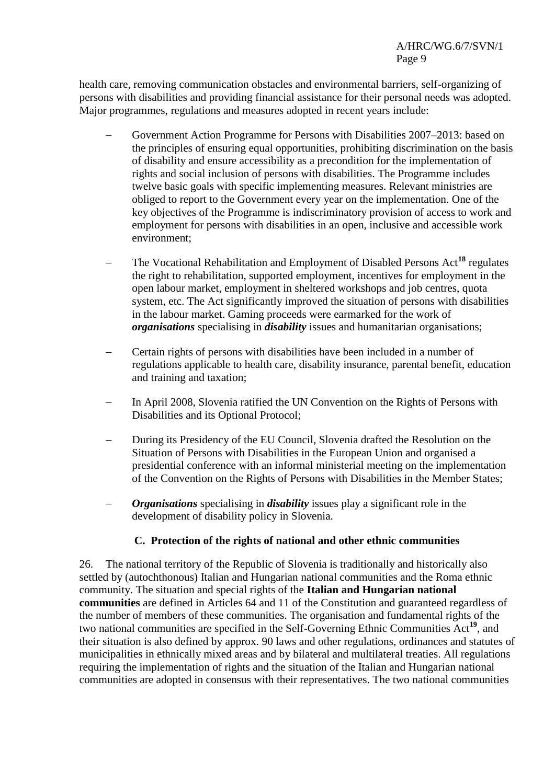health care, removing communication obstacles and environmental barriers, self-organizing of persons with disabilities and providing financial assistance for their personal needs was adopted. Major programmes, regulations and measures adopted in recent years include:

- Government Action Programme for Persons with Disabilities 2007–2013: based on the principles of ensuring equal opportunities, prohibiting discrimination on the basis of disability and ensure accessibility as a precondition for the implementation of rights and social inclusion of persons with disabilities. The Programme includes twelve basic goals with specific implementing measures. Relevant ministries are obliged to report to the Government every year on the implementation. One of the key objectives of the Programme is indiscriminatory provision of access to work and employment for persons with disabilities in an open, inclusive and accessible work environment;
- The Vocational Rehabilitation and Employment of Disabled Persons Act**<sup>18</sup>** regulates the right to rehabilitation, supported employment, incentives for employment in the open labour market, employment in sheltered workshops and job centres, quota system, etc. The Act significantly improved the situation of persons with disabilities in the labour market. Gaming proceeds were earmarked for the work of *organisations* specialising in *disability* issues and humanitarian organisations;
- Certain rights of persons with disabilities have been included in a number of regulations applicable to health care, disability insurance, parental benefit, education and training and taxation;
- In April 2008, Slovenia ratified the UN Convention on the Rights of Persons with Disabilities and its Optional Protocol;
- During its Presidency of the EU Council, Slovenia drafted the Resolution on the Situation of Persons with Disabilities in the European Union and organised a presidential conference with an informal ministerial meeting on the implementation of the Convention on the Rights of Persons with Disabilities in the Member States;
- *Organisations* specialising in *disability* issues play a significant role in the development of disability policy in Slovenia.

# **C. Protection of the rights of national and other ethnic communities**

26. The national territory of the Republic of Slovenia is traditionally and historically also settled by (autochthonous) Italian and Hungarian national communities and the Roma ethnic community. The situation and special rights of the **Italian and Hungarian national communities** are defined in Articles 64 and 11 of the Constitution and guaranteed regardless of the number of members of these communities. The organisation and fundamental rights of the two national communities are specified in the Self-Governing Ethnic Communities Act**<sup>19</sup>**, and their situation is also defined by approx. 90 laws and other regulations, ordinances and statutes of municipalities in ethnically mixed areas and by bilateral and multilateral treaties. All regulations requiring the implementation of rights and the situation of the Italian and Hungarian national communities are adopted in consensus with their representatives. The two national communities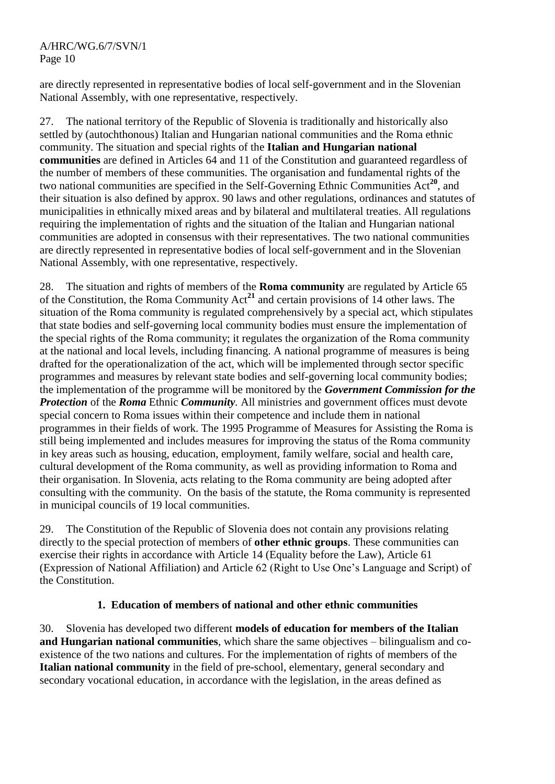are directly represented in representative bodies of local self-government and in the Slovenian National Assembly, with one representative, respectively.

27. The national territory of the Republic of Slovenia is traditionally and historically also settled by (autochthonous) Italian and Hungarian national communities and the Roma ethnic community. The situation and special rights of the **Italian and Hungarian national communities** are defined in Articles 64 and 11 of the Constitution and guaranteed regardless of the number of members of these communities. The organisation and fundamental rights of the two national communities are specified in the Self-Governing Ethnic Communities Act**<sup>20</sup>**, and their situation is also defined by approx. 90 laws and other regulations, ordinances and statutes of municipalities in ethnically mixed areas and by bilateral and multilateral treaties. All regulations requiring the implementation of rights and the situation of the Italian and Hungarian national communities are adopted in consensus with their representatives. The two national communities are directly represented in representative bodies of local self-government and in the Slovenian National Assembly, with one representative, respectively.

28. The situation and rights of members of the **Roma community** are regulated by Article 65 of the Constitution, the Roma Community Act**<sup>21</sup>** and certain provisions of 14 other laws. The situation of the Roma community is regulated comprehensively by a special act, which stipulates that state bodies and self-governing local community bodies must ensure the implementation of the special rights of the Roma community; it regulates the organization of the Roma community at the national and local levels, including financing. A national programme of measures is being drafted for the operationalization of the act, which will be implemented through sector specific programmes and measures by relevant state bodies and self-governing local community bodies; the implementation of the programme will be monitored by the *Government Commission for the Protection* of the *Roma* Ethnic *Community.* All ministries and government offices must devote special concern to Roma issues within their competence and include them in national programmes in their fields of work. The 1995 Programme of Measures for Assisting the Roma is still being implemented and includes measures for improving the status of the Roma community in key areas such as housing, education, employment, family welfare, social and health care, cultural development of the Roma community, as well as providing information to Roma and their organisation. In Slovenia, acts relating to the Roma community are being adopted after consulting with the community. On the basis of the statute, the Roma community is represented in municipal councils of 19 local communities.

29. The Constitution of the Republic of Slovenia does not contain any provisions relating directly to the special protection of members of **other ethnic groups**. These communities can exercise their rights in accordance with Article 14 (Equality before the Law), Article 61 (Expression of National Affiliation) and Article 62 (Right to Use One's Language and Script) of the Constitution.

## **1. Education of members of national and other ethnic communities**

30. Slovenia has developed two different **models of education for members of the Italian and Hungarian national communities**, which share the same objectives – bilingualism and coexistence of the two nations and cultures. For the implementation of rights of members of the **Italian national community** in the field of pre-school, elementary, general secondary and secondary vocational education, in accordance with the legislation, in the areas defined as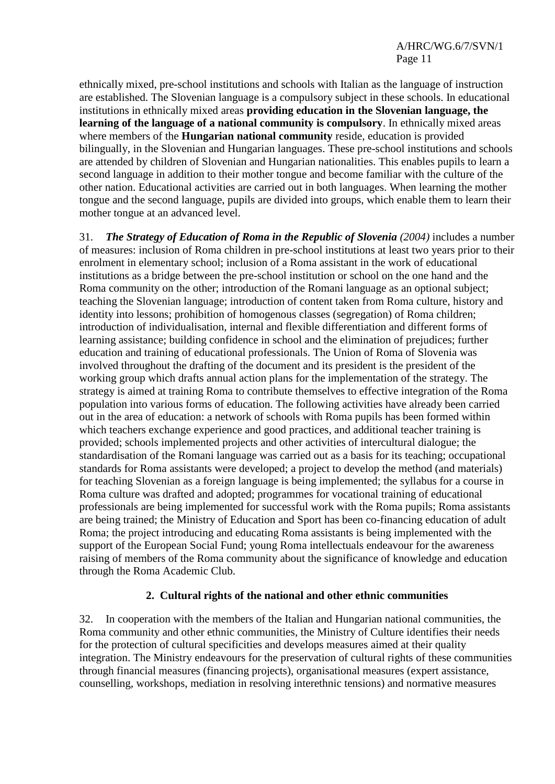ethnically mixed, pre-school institutions and schools with Italian as the language of instruction are established. The Slovenian language is a compulsory subject in these schools. In educational institutions in ethnically mixed areas **providing education in the Slovenian language, the learning of the language of a national community is compulsory**. In ethnically mixed areas where members of the **Hungarian national community** reside, education is provided bilingually, in the Slovenian and Hungarian languages. These pre-school institutions and schools are attended by children of Slovenian and Hungarian nationalities. This enables pupils to learn a second language in addition to their mother tongue and become familiar with the culture of the other nation. Educational activities are carried out in both languages. When learning the mother tongue and the second language, pupils are divided into groups, which enable them to learn their mother tongue at an advanced level.

31. *The Strategy of Education of Roma in the Republic of Slovenia (2004)* includes a number of measures: inclusion of Roma children in pre-school institutions at least two years prior to their enrolment in elementary school; inclusion of a Roma assistant in the work of educational institutions as a bridge between the pre-school institution or school on the one hand and the Roma community on the other; introduction of the Romani language as an optional subject; teaching the Slovenian language; introduction of content taken from Roma culture, history and identity into lessons; prohibition of homogenous classes (segregation) of Roma children; introduction of individualisation, internal and flexible differentiation and different forms of learning assistance; building confidence in school and the elimination of prejudices; further education and training of educational professionals. The Union of Roma of Slovenia was involved throughout the drafting of the document and its president is the president of the working group which drafts annual action plans for the implementation of the strategy. The strategy is aimed at training Roma to contribute themselves to effective integration of the Roma population into various forms of education. The following activities have already been carried out in the area of education: a network of schools with Roma pupils has been formed within which teachers exchange experience and good practices, and additional teacher training is provided; schools implemented projects and other activities of intercultural dialogue; the standardisation of the Romani language was carried out as a basis for its teaching; occupational standards for Roma assistants were developed; a project to develop the method (and materials) for teaching Slovenian as a foreign language is being implemented; the syllabus for a course in Roma culture was drafted and adopted; programmes for vocational training of educational professionals are being implemented for successful work with the Roma pupils; Roma assistants are being trained; the Ministry of Education and Sport has been co-financing education of adult Roma; the project introducing and educating Roma assistants is being implemented with the support of the European Social Fund; young Roma intellectuals endeavour for the awareness raising of members of the Roma community about the significance of knowledge and education through the Roma Academic Club.

## **2. Cultural rights of the national and other ethnic communities**

32. In cooperation with the members of the Italian and Hungarian national communities, the Roma community and other ethnic communities, the Ministry of Culture identifies their needs for the protection of cultural specificities and develops measures aimed at their quality integration. The Ministry endeavours for the preservation of cultural rights of these communities through financial measures (financing projects), organisational measures (expert assistance, counselling, workshops, mediation in resolving interethnic tensions) and normative measures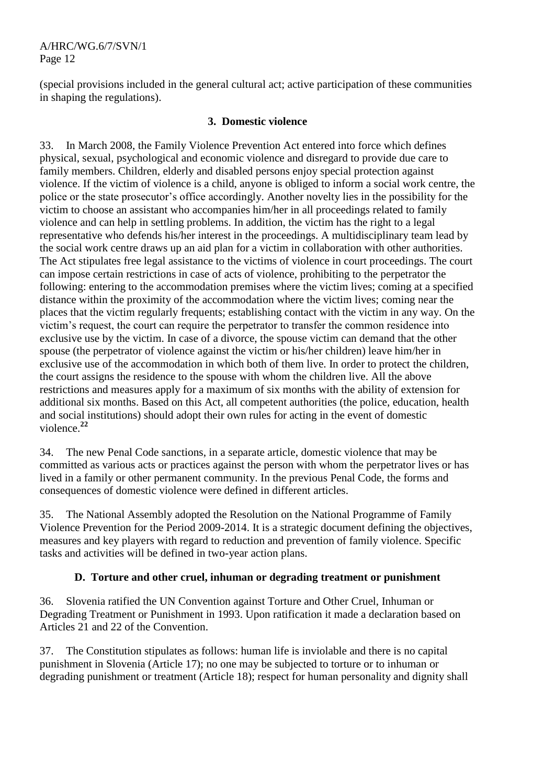(special provisions included in the general cultural act; active participation of these communities in shaping the regulations).

## **3. Domestic violence**

33. In March 2008, the Family Violence Prevention Act entered into force which defines physical, sexual, psychological and economic violence and disregard to provide due care to family members. Children, elderly and disabled persons enjoy special protection against violence. If the victim of violence is a child, anyone is obliged to inform a social work centre, the police or the state prosecutor's office accordingly. Another novelty lies in the possibility for the victim to choose an assistant who accompanies him/her in all proceedings related to family violence and can help in settling problems. In addition, the victim has the right to a legal representative who defends his/her interest in the proceedings. A multidisciplinary team lead by the social work centre draws up an aid plan for a victim in collaboration with other authorities. The Act stipulates free legal assistance to the victims of violence in court proceedings. The court can impose certain restrictions in case of acts of violence, prohibiting to the perpetrator the following: entering to the accommodation premises where the victim lives; coming at a specified distance within the proximity of the accommodation where the victim lives; coming near the places that the victim regularly frequents; establishing contact with the victim in any way. On the victim's request, the court can require the perpetrator to transfer the common residence into exclusive use by the victim. In case of a divorce, the spouse victim can demand that the other spouse (the perpetrator of violence against the victim or his/her children) leave him/her in exclusive use of the accommodation in which both of them live. In order to protect the children, the court assigns the residence to the spouse with whom the children live. All the above restrictions and measures apply for a maximum of six months with the ability of extension for additional six months. Based on this Act, all competent authorities (the police, education, health and social institutions) should adopt their own rules for acting in the event of domestic violence.**<sup>22</sup>**

34. The new Penal Code sanctions, in a separate article, domestic violence that may be committed as various acts or practices against the person with whom the perpetrator lives or has lived in a family or other permanent community. In the previous Penal Code, the forms and consequences of domestic violence were defined in different articles.

35. The National Assembly adopted the Resolution on the National Programme of Family Violence Prevention for the Period 2009-2014. It is a strategic document defining the objectives, measures and key players with regard to reduction and prevention of family violence. Specific tasks and activities will be defined in two-year action plans.

## **D. Torture and other cruel, inhuman or degrading treatment or punishment**

36. Slovenia ratified the UN Convention against Torture and Other Cruel, Inhuman or Degrading Treatment or Punishment in 1993. Upon ratification it made a declaration based on Articles 21 and 22 of the Convention.

37. The Constitution stipulates as follows: human life is inviolable and there is no capital punishment in Slovenia (Article 17); no one may be subjected to torture or to inhuman or degrading punishment or treatment (Article 18); respect for human personality and dignity shall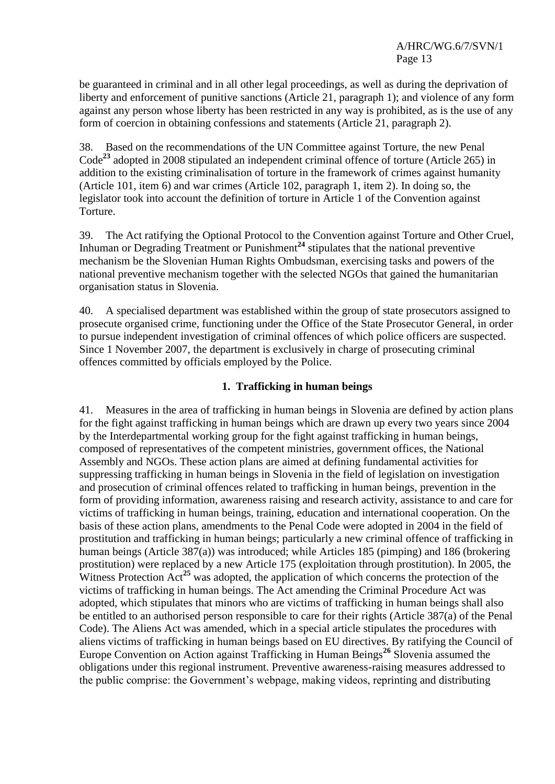be guaranteed in criminal and in all other legal proceedings, as well as during the deprivation of liberty and enforcement of punitive sanctions (Article 21, paragraph 1); and violence of any form against any person whose liberty has been restricted in any way is prohibited, as is the use of any form of coercion in obtaining confessions and statements (Article 21, paragraph 2).

38. Based on the recommendations of the UN Committee against Torture, the new Penal Code**<sup>23</sup>** adopted in 2008 stipulated an independent criminal offence of torture (Article 265) in addition to the existing criminalisation of torture in the framework of crimes against humanity (Article 101, item 6) and war crimes (Article 102, paragraph 1, item 2). In doing so, the legislator took into account the definition of torture in Article 1 of the Convention against Torture.

39. The Act ratifying the Optional Protocol to the Convention against Torture and Other Cruel, Inhuman or Degrading Treatment or Punishment<sup>24</sup> stipulates that the national preventive mechanism be the Slovenian Human Rights Ombudsman, exercising tasks and powers of the national preventive mechanism together with the selected NGOs that gained the humanitarian organisation status in Slovenia.

40. A specialised department was established within the group of state prosecutors assigned to prosecute organised crime, functioning under the Office of the State Prosecutor General, in order to pursue independent investigation of criminal offences of which police officers are suspected. Since 1 November 2007, the department is exclusively in charge of prosecuting criminal offences committed by officials employed by the Police.

#### **1. Trafficking in human beings**

41. Measures in the area of trafficking in human beings in Slovenia are defined by action plans for the fight against trafficking in human beings which are drawn up every two years since 2004 by the Interdepartmental working group for the fight against trafficking in human beings, composed of representatives of the competent ministries, government offices, the National Assembly and NGOs. These action plans are aimed at defining fundamental activities for suppressing trafficking in human beings in Slovenia in the field of legislation on investigation and prosecution of criminal offences related to trafficking in human beings, prevention in the form of providing information, awareness raising and research activity, assistance to and care for victims of trafficking in human beings, training, education and international cooperation. On the basis of these action plans, amendments to the Penal Code were adopted in 2004 in the field of prostitution and trafficking in human beings; particularly a new criminal offence of trafficking in human beings (Article 387(a)) was introduced; while Articles 185 (pimping) and 186 (brokering prostitution) were replaced by a new Article 175 (exploitation through prostitution). In 2005, the Witness Protection Act<sup>25</sup> was adopted, the application of which concerns the protection of the victims of trafficking in human beings. The Act amending the Criminal Procedure Act was adopted, which stipulates that minors who are victims of trafficking in human beings shall also be entitled to an authorised person responsible to care for their rights (Article 387(a) of the Penal Code). The Aliens Act was amended, which in a special article stipulates the procedures with aliens victims of trafficking in human beings based on EU directives. By ratifying the Council of Europe Convention on Action against Trafficking in Human Beings**<sup>26</sup>** Slovenia assumed the obligations under this regional instrument. Preventive awareness-raising measures addressed to the public comprise: the Government's webpage, making videos, reprinting and distributing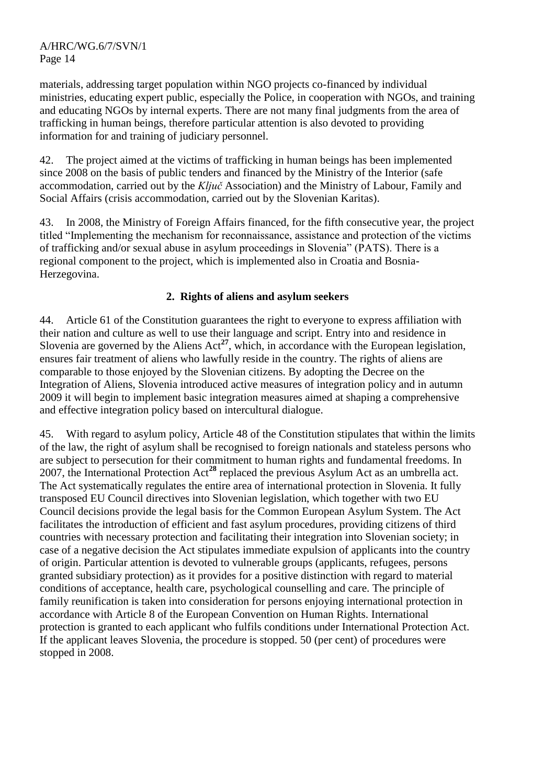materials, addressing target population within NGO projects co-financed by individual ministries, educating expert public, especially the Police, in cooperation with NGOs, and training and educating NGOs by internal experts. There are not many final judgments from the area of trafficking in human beings, therefore particular attention is also devoted to providing information for and training of judiciary personnel.

42. The project aimed at the victims of trafficking in human beings has been implemented since 2008 on the basis of public tenders and financed by the Ministry of the Interior (safe accommodation, carried out by the *Ključ* Association) and the Ministry of Labour, Family and Social Affairs (crisis accommodation, carried out by the Slovenian Karitas).

43. In 2008, the Ministry of Foreign Affairs financed, for the fifth consecutive year, the project titled "Implementing the mechanism for reconnaissance, assistance and protection of the victims of trafficking and/or sexual abuse in asylum proceedings in Slovenia" (PATS). There is a regional component to the project, which is implemented also in Croatia and Bosnia-Herzegovina.

## **2. Rights of aliens and asylum seekers**

44. Article 61 of the Constitution guarantees the right to everyone to express affiliation with their nation and culture as well to use their language and script. Entry into and residence in Slovenia are governed by the Aliens  $Act^{27}$ , which, in accordance with the European legislation, ensures fair treatment of aliens who lawfully reside in the country. The rights of aliens are comparable to those enjoyed by the Slovenian citizens. By adopting the Decree on the Integration of Aliens, Slovenia introduced active measures of integration policy and in autumn 2009 it will begin to implement basic integration measures aimed at shaping a comprehensive and effective integration policy based on intercultural dialogue.

45. With regard to asylum policy, Article 48 of the Constitution stipulates that within the limits of the law, the right of asylum shall be recognised to foreign nationals and stateless persons who are subject to persecution for their commitment to human rights and fundamental freedoms. In 2007, the International Protection Act**<sup>28</sup>** replaced the previous Asylum Act as an umbrella act. The Act systematically regulates the entire area of international protection in Slovenia. It fully transposed EU Council directives into Slovenian legislation, which together with two EU Council decisions provide the legal basis for the Common European Asylum System. The Act facilitates the introduction of efficient and fast asylum procedures, providing citizens of third countries with necessary protection and facilitating their integration into Slovenian society; in case of a negative decision the Act stipulates immediate expulsion of applicants into the country of origin. Particular attention is devoted to vulnerable groups (applicants, refugees, persons granted subsidiary protection) as it provides for a positive distinction with regard to material conditions of acceptance, health care, psychological counselling and care. The principle of family reunification is taken into consideration for persons enjoying international protection in accordance with Article 8 of the European Convention on Human Rights. International protection is granted to each applicant who fulfils conditions under International Protection Act. If the applicant leaves Slovenia, the procedure is stopped. 50 (per cent) of procedures were stopped in 2008.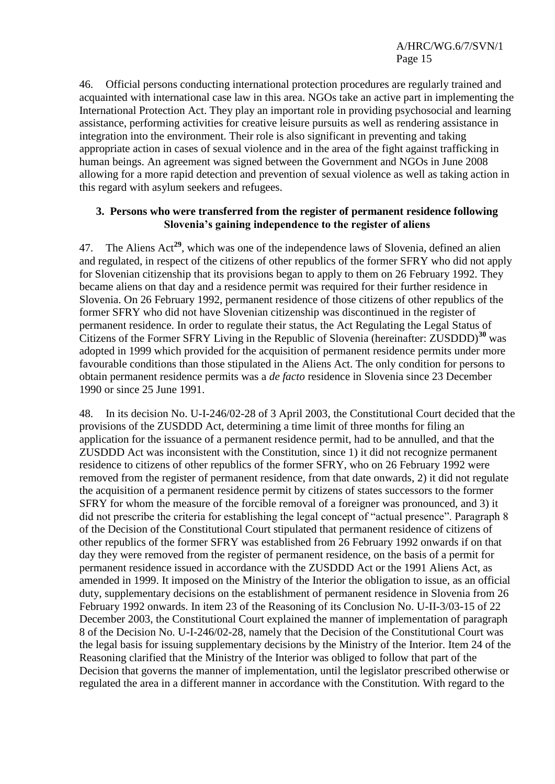46. Official persons conducting international protection procedures are regularly trained and acquainted with international case law in this area. NGOs take an active part in implementing the International Protection Act. They play an important role in providing psychosocial and learning assistance, performing activities for creative leisure pursuits as well as rendering assistance in integration into the environment. Their role is also significant in preventing and taking appropriate action in cases of sexual violence and in the area of the fight against trafficking in human beings. An agreement was signed between the Government and NGOs in June 2008 allowing for a more rapid detection and prevention of sexual violence as well as taking action in this regard with asylum seekers and refugees.

#### **3. Persons who were transferred from the register of permanent residence following Slovenia's gaining independence to the register of aliens**

47. The Aliens Act**<sup>29</sup>**, which was one of the independence laws of Slovenia, defined an alien and regulated, in respect of the citizens of other republics of the former SFRY who did not apply for Slovenian citizenship that its provisions began to apply to them on 26 February 1992. They became aliens on that day and a residence permit was required for their further residence in Slovenia. On 26 February 1992, permanent residence of those citizens of other republics of the former SFRY who did not have Slovenian citizenship was discontinued in the register of permanent residence. In order to regulate their status, the Act Regulating the Legal Status of Citizens of the Former SFRY Living in the Republic of Slovenia (hereinafter: ZUSDDD)**<sup>30</sup>** was adopted in 1999 which provided for the acquisition of permanent residence permits under more favourable conditions than those stipulated in the Aliens Act. The only condition for persons to obtain permanent residence permits was a *de facto* residence in Slovenia since 23 December 1990 or since 25 June 1991.

48. In its decision No. U-I-246/02-28 of 3 April 2003, the Constitutional Court decided that the provisions of the ZUSDDD Act, determining a time limit of three months for filing an application for the issuance of a permanent residence permit, had to be annulled, and that the ZUSDDD Act was inconsistent with the Constitution, since 1) it did not recognize permanent residence to citizens of other republics of the former SFRY, who on 26 February 1992 were removed from the register of permanent residence, from that date onwards, 2) it did not regulate the acquisition of a permanent residence permit by citizens of states successors to the former SFRY for whom the measure of the forcible removal of a foreigner was pronounced, and 3) it did not prescribe the criteria for establishing the legal concept of "actual presence". Paragraph 8 of the Decision of the Constitutional Court stipulated that permanent residence of citizens of other republics of the former SFRY was established from 26 February 1992 onwards if on that day they were removed from the register of permanent residence, on the basis of a permit for permanent residence issued in accordance with the ZUSDDD Act or the 1991 Aliens Act, as amended in 1999. It imposed on the Ministry of the Interior the obligation to issue, as an official duty, supplementary decisions on the establishment of permanent residence in Slovenia from 26 February 1992 onwards. In item 23 of the Reasoning of its Conclusion No. U-II-3/03-15 of 22 December 2003, the Constitutional Court explained the manner of implementation of paragraph 8 of the Decision No. U-I-246/02-28, namely that the Decision of the Constitutional Court was the legal basis for issuing supplementary decisions by the Ministry of the Interior. Item 24 of the Reasoning clarified that the Ministry of the Interior was obliged to follow that part of the Decision that governs the manner of implementation, until the legislator prescribed otherwise or regulated the area in a different manner in accordance with the Constitution. With regard to the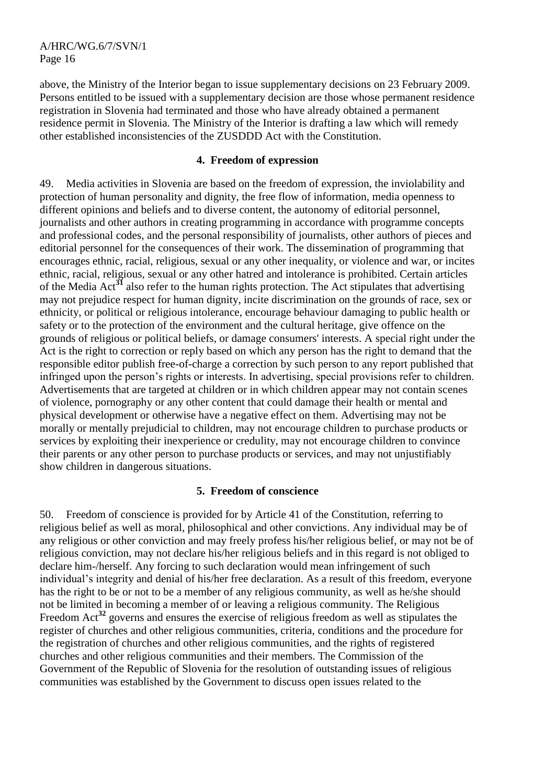above, the Ministry of the Interior began to issue supplementary decisions on 23 February 2009. Persons entitled to be issued with a supplementary decision are those whose permanent residence registration in Slovenia had terminated and those who have already obtained a permanent residence permit in Slovenia. The Ministry of the Interior is drafting a law which will remedy other established inconsistencies of the ZUSDDD Act with the Constitution.

#### **4. Freedom of expression**

49. Media activities in Slovenia are based on the freedom of expression, the inviolability and protection of human personality and dignity, the free flow of information, media openness to different opinions and beliefs and to diverse content, the autonomy of editorial personnel, journalists and other authors in creating programming in accordance with programme concepts and professional codes, and the personal responsibility of journalists, other authors of pieces and editorial personnel for the consequences of their work. The dissemination of programming that encourages ethnic, racial, religious, sexual or any other inequality, or violence and war, or incites ethnic, racial, religious, sexual or any other hatred and intolerance is prohibited. Certain articles of the Media Act**<sup>31</sup>** also refer to the human rights protection. The Act stipulates that advertising may not prejudice respect for human dignity, incite discrimination on the grounds of race, sex or ethnicity, or political or religious intolerance, encourage behaviour damaging to public health or safety or to the protection of the environment and the cultural heritage, give offence on the grounds of religious or political beliefs, or damage consumers' interests. A special right under the Act is the right to correction or reply based on which any person has the right to demand that the responsible editor publish free-of-charge a correction by such person to any report published that infringed upon the person's rights or interests. In advertising, special provisions refer to children. Advertisements that are targeted at children or in which children appear may not contain scenes of violence, pornography or any other content that could damage their health or mental and physical development or otherwise have a negative effect on them. Advertising may not be morally or mentally prejudicial to children, may not encourage children to purchase products or services by exploiting their inexperience or credulity, may not encourage children to convince their parents or any other person to purchase products or services, and may not unjustifiably show children in dangerous situations.

#### **5. Freedom of conscience**

50. Freedom of conscience is provided for by Article 41 of the Constitution, referring to religious belief as well as moral, philosophical and other convictions. Any individual may be of any religious or other conviction and may freely profess his/her religious belief, or may not be of religious conviction, may not declare his/her religious beliefs and in this regard is not obliged to declare him-/herself. Any forcing to such declaration would mean infringement of such individual's integrity and denial of his/her free declaration. As a result of this freedom, everyone has the right to be or not to be a member of any religious community, as well as he/she should not be limited in becoming a member of or leaving a religious community. The Religious Freedom Act<sup>32</sup> governs and ensures the exercise of religious freedom as well as stipulates the register of churches and other religious communities, criteria, conditions and the procedure for the registration of churches and other religious communities, and the rights of registered churches and other religious communities and their members. The Commission of the Government of the Republic of Slovenia for the resolution of outstanding issues of religious communities was established by the Government to discuss open issues related to the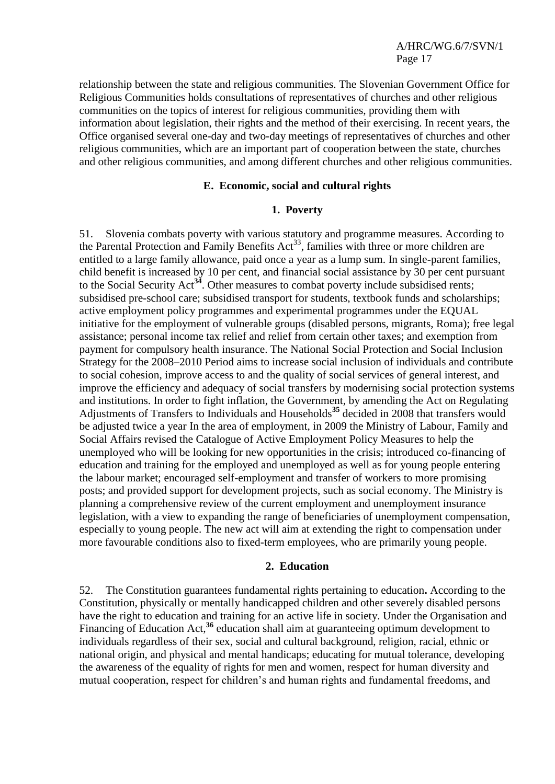relationship between the state and religious communities. The Slovenian Government Office for Religious Communities holds consultations of representatives of churches and other religious communities on the topics of interest for religious communities, providing them with information about legislation, their rights and the method of their exercising. In recent years, the Office organised several one-day and two-day meetings of representatives of churches and other religious communities, which are an important part of cooperation between the state, churches and other religious communities, and among different churches and other religious communities.

#### **E. Economic, social and cultural rights**

#### **1. Poverty**

51. Slovenia combats poverty with various statutory and programme measures. According to the Parental Protection and Family Benefits  $Act^{33}$ , families with three or more children are entitled to a large family allowance, paid once a year as a lump sum. In single-parent families, child benefit is increased by 10 per cent, and financial social assistance by 30 per cent pursuant to the Social Security Act**<sup>34</sup>**. Other measures to combat poverty include subsidised rents; subsidised pre-school care; subsidised transport for students, textbook funds and scholarships; active employment policy programmes and experimental programmes under the EQUAL initiative for the employment of vulnerable groups (disabled persons, migrants, Roma); free legal assistance; personal income tax relief and relief from certain other taxes; and exemption from payment for compulsory health insurance. The National Social Protection and Social Inclusion Strategy for the 2008–2010 Period aims to increase social inclusion of individuals and contribute to social cohesion, improve access to and the quality of social services of general interest, and improve the efficiency and adequacy of social transfers by modernising social protection systems and institutions. In order to fight inflation, the Government, by amending the Act on Regulating Adjustments of Transfers to Individuals and Households**<sup>35</sup>** decided in 2008 that transfers would be adjusted twice a year In the area of employment, in 2009 the Ministry of Labour, Family and Social Affairs revised the Catalogue of Active Employment Policy Measures to help the unemployed who will be looking for new opportunities in the crisis; introduced co-financing of education and training for the employed and unemployed as well as for young people entering the labour market; encouraged self-employment and transfer of workers to more promising posts; and provided support for development projects, such as social economy. The Ministry is planning a comprehensive review of the current employment and unemployment insurance legislation, with a view to expanding the range of beneficiaries of unemployment compensation, especially to young people. The new act will aim at extending the right to compensation under more favourable conditions also to fixed-term employees, who are primarily young people.

#### **2. Education**

52. The Constitution guarantees fundamental rights pertaining to education**.** According to the Constitution, physically or mentally handicapped children and other severely disabled persons have the right to education and training for an active life in society. Under the Organisation and Financing of Education Act,<sup>36</sup> education shall aim at guaranteeing optimum development to individuals regardless of their sex, social and cultural background, religion, racial, ethnic or national origin, and physical and mental handicaps; educating for mutual tolerance, developing the awareness of the equality of rights for men and women, respect for human diversity and mutual cooperation, respect for children's and human rights and fundamental freedoms, and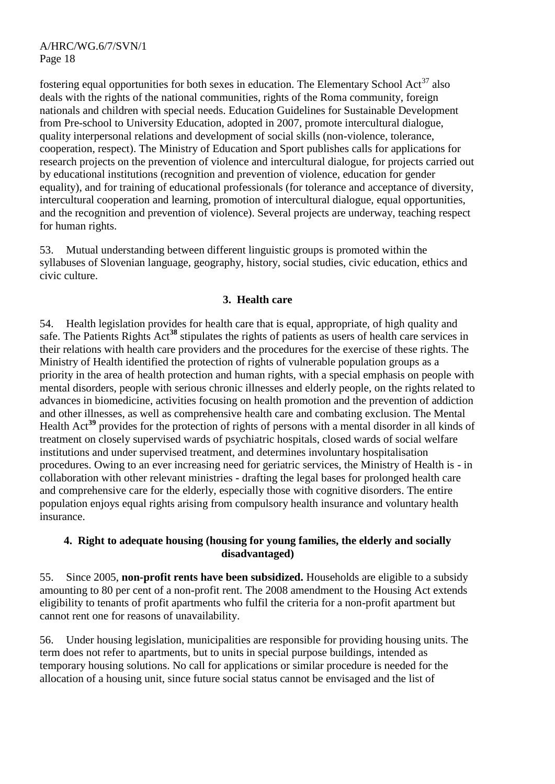fostering equal opportunities for both sexes in education. The Elementary School Act<sup>37</sup> also deals with the rights of the national communities, rights of the Roma community, foreign nationals and children with special needs. Education Guidelines for Sustainable Development from Pre-school to University Education, adopted in 2007, promote intercultural dialogue, quality interpersonal relations and development of social skills (non-violence, tolerance, cooperation, respect). The Ministry of Education and Sport publishes calls for applications for research projects on the prevention of violence and intercultural dialogue, for projects carried out by educational institutions (recognition and prevention of violence, education for gender equality), and for training of educational professionals (for tolerance and acceptance of diversity, intercultural cooperation and learning, promotion of intercultural dialogue, equal opportunities, and the recognition and prevention of violence). Several projects are underway, teaching respect for human rights.

53. Mutual understanding between different linguistic groups is promoted within the syllabuses of Slovenian language, geography, history, social studies, civic education, ethics and civic culture.

## **3. Health care**

54. Health legislation provides for health care that is equal, appropriate, of high quality and safe. The Patients Rights Act**<sup>38</sup>** stipulates the rights of patients as users of health care services in their relations with health care providers and the procedures for the exercise of these rights. The Ministry of Health identified the protection of rights of vulnerable population groups as a priority in the area of health protection and human rights, with a special emphasis on people with mental disorders, people with serious chronic illnesses and elderly people, on the rights related to advances in biomedicine, activities focusing on health promotion and the prevention of addiction and other illnesses, as well as comprehensive health care and combating exclusion. The Mental Health Act**<sup>39</sup>** provides for the protection of rights of persons with a mental disorder in all kinds of treatment on closely supervised wards of psychiatric hospitals, closed wards of social welfare institutions and under supervised treatment, and determines involuntary hospitalisation procedures. Owing to an ever increasing need for geriatric services, the Ministry of Health is - in collaboration with other relevant ministries - drafting the legal bases for prolonged health care and comprehensive care for the elderly, especially those with cognitive disorders. The entire population enjoys equal rights arising from compulsory health insurance and voluntary health insurance.

## **4. Right to adequate housing (housing for young families, the elderly and socially disadvantaged)**

55. Since 2005, **non-profit rents have been subsidized.** Households are eligible to a subsidy amounting to 80 per cent of a non-profit rent. The 2008 amendment to the Housing Act extends eligibility to tenants of profit apartments who fulfil the criteria for a non-profit apartment but cannot rent one for reasons of unavailability.

56. Under housing legislation, municipalities are responsible for providing housing units. The term does not refer to apartments, but to units in special purpose buildings, intended as temporary housing solutions. No call for applications or similar procedure is needed for the allocation of a housing unit, since future social status cannot be envisaged and the list of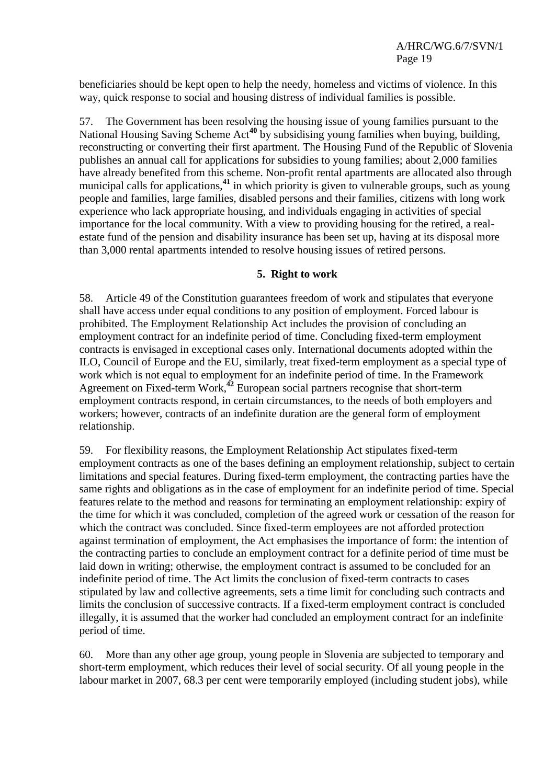beneficiaries should be kept open to help the needy, homeless and victims of violence. In this way, quick response to social and housing distress of individual families is possible.

57. The Government has been resolving the housing issue of young families pursuant to the National Housing Saving Scheme Act**<sup>40</sup>** by subsidising young families when buying, building, reconstructing or converting their first apartment. The Housing Fund of the Republic of Slovenia publishes an annual call for applications for subsidies to young families; about 2,000 families have already benefited from this scheme. Non-profit rental apartments are allocated also through municipal calls for applications,**<sup>41</sup>** in which priority is given to vulnerable groups, such as young people and families, large families, disabled persons and their families, citizens with long work experience who lack appropriate housing, and individuals engaging in activities of special importance for the local community. With a view to providing housing for the retired, a realestate fund of the pension and disability insurance has been set up, having at its disposal more than 3,000 rental apartments intended to resolve housing issues of retired persons.

#### **5. Right to work**

58. Article 49 of the Constitution guarantees freedom of work and stipulates that everyone shall have access under equal conditions to any position of employment. Forced labour is prohibited. The Employment Relationship Act includes the provision of concluding an employment contract for an indefinite period of time. Concluding fixed-term employment contracts is envisaged in exceptional cases only. International documents adopted within the ILO, Council of Europe and the EU, similarly, treat fixed-term employment as a special type of work which is not equal to employment for an indefinite period of time. In the Framework Agreement on Fixed-term Work, **<sup>42</sup>** European social partners recognise that short-term employment contracts respond, in certain circumstances, to the needs of both employers and workers; however, contracts of an indefinite duration are the general form of employment relationship.

59. For flexibility reasons, the Employment Relationship Act stipulates fixed-term employment contracts as one of the bases defining an employment relationship, subject to certain limitations and special features. During fixed-term employment, the contracting parties have the same rights and obligations as in the case of employment for an indefinite period of time. Special features relate to the method and reasons for terminating an employment relationship: expiry of the time for which it was concluded, completion of the agreed work or cessation of the reason for which the contract was concluded. Since fixed-term employees are not afforded protection against termination of employment, the Act emphasises the importance of form: the intention of the contracting parties to conclude an employment contract for a definite period of time must be laid down in writing; otherwise, the employment contract is assumed to be concluded for an indefinite period of time. The Act limits the conclusion of fixed-term contracts to cases stipulated by law and collective agreements, sets a time limit for concluding such contracts and limits the conclusion of successive contracts. If a fixed-term employment contract is concluded illegally, it is assumed that the worker had concluded an employment contract for an indefinite period of time.

60. More than any other age group, young people in Slovenia are subjected to temporary and short-term employment, which reduces their level of social security. Of all young people in the labour market in 2007, 68.3 per cent were temporarily employed (including student jobs), while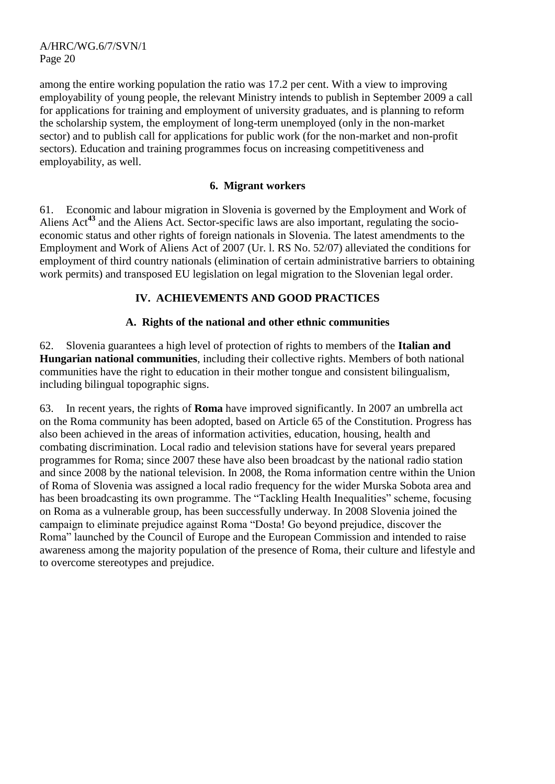among the entire working population the ratio was 17.2 per cent. With a view to improving employability of young people, the relevant Ministry intends to publish in September 2009 a call for applications for training and employment of university graduates, and is planning to reform the scholarship system, the employment of long-term unemployed (only in the non-market sector) and to publish call for applications for public work (for the non-market and non-profit sectors). Education and training programmes focus on increasing competitiveness and employability, as well.

#### **6. Migrant workers**

61. Economic and labour migration in Slovenia is governed by the Employment and Work of Aliens Act**<sup>43</sup>** and the Aliens Act. Sector-specific laws are also important, regulating the socioeconomic status and other rights of foreign nationals in Slovenia. The latest amendments to the Employment and Work of Aliens Act of 2007 (Ur. l. RS No. 52/07) alleviated the conditions for employment of third country nationals (elimination of certain administrative barriers to obtaining work permits) and transposed EU legislation on legal migration to the Slovenian legal order.

## **IV. ACHIEVEMENTS AND GOOD PRACTICES**

## **A. Rights of the national and other ethnic communities**

62. Slovenia guarantees a high level of protection of rights to members of the **Italian and Hungarian national communities**, including their collective rights. Members of both national communities have the right to education in their mother tongue and consistent bilingualism, including bilingual topographic signs.

63. In recent years, the rights of **Roma** have improved significantly. In 2007 an umbrella act on the Roma community has been adopted, based on Article 65 of the Constitution. Progress has also been achieved in the areas of information activities, education, housing, health and combating discrimination. Local radio and television stations have for several years prepared programmes for Roma; since 2007 these have also been broadcast by the national radio station and since 2008 by the national television. In 2008, the Roma information centre within the Union of Roma of Slovenia was assigned a local radio frequency for the wider Murska Sobota area and has been broadcasting its own programme. The "Tackling Health Inequalities" scheme, focusing on Roma as a vulnerable group, has been successfully underway. In 2008 Slovenia joined the campaign to eliminate prejudice against Roma "Dosta! Go beyond prejudice, discover the Roma" launched by the Council of Europe and the European Commission and intended to raise awareness among the majority population of the presence of Roma, their culture and lifestyle and to overcome stereotypes and prejudice.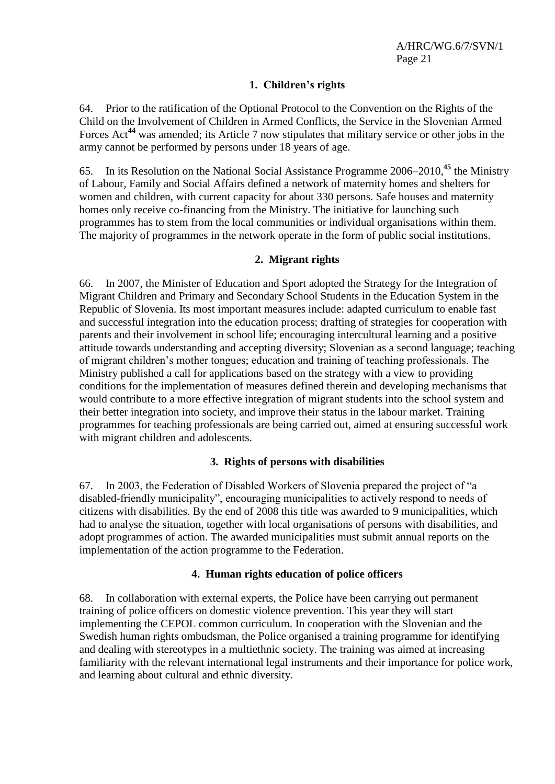## **1. Children's rights**

64. Prior to the ratification of the Optional Protocol to the Convention on the Rights of the Child on the Involvement of Children in Armed Conflicts, the Service in the Slovenian Armed Forces Act**<sup>44</sup>** was amended; its Article 7 now stipulates that military service or other jobs in the army cannot be performed by persons under 18 years of age.

65. In its Resolution on the National Social Assistance Programme 2006–2010,**<sup>45</sup>** the Ministry of Labour, Family and Social Affairs defined a network of maternity homes and shelters for women and children, with current capacity for about 330 persons. Safe houses and maternity homes only receive co-financing from the Ministry. The initiative for launching such programmes has to stem from the local communities or individual organisations within them. The majority of programmes in the network operate in the form of public social institutions.

## **2. Migrant rights**

66. In 2007, the Minister of Education and Sport adopted the Strategy for the Integration of Migrant Children and Primary and Secondary School Students in the Education System in the Republic of Slovenia. Its most important measures include: adapted curriculum to enable fast and successful integration into the education process; drafting of strategies for cooperation with parents and their involvement in school life; encouraging intercultural learning and a positive attitude towards understanding and accepting diversity; Slovenian as a second language; teaching of migrant children's mother tongues; education and training of teaching professionals. The Ministry published a call for applications based on the strategy with a view to providing conditions for the implementation of measures defined therein and developing mechanisms that would contribute to a more effective integration of migrant students into the school system and their better integration into society, and improve their status in the labour market. Training programmes for teaching professionals are being carried out, aimed at ensuring successful work with migrant children and adolescents.

## **3. Rights of persons with disabilities**

67. In 2003, the Federation of Disabled Workers of Slovenia prepared the project of "a disabled-friendly municipality", encouraging municipalities to actively respond to needs of citizens with disabilities. By the end of 2008 this title was awarded to 9 municipalities, which had to analyse the situation, together with local organisations of persons with disabilities, and adopt programmes of action. The awarded municipalities must submit annual reports on the implementation of the action programme to the Federation.

## **4. Human rights education of police officers**

68. In collaboration with external experts, the Police have been carrying out permanent training of police officers on domestic violence prevention. This year they will start implementing the CEPOL common curriculum. In cooperation with the Slovenian and the Swedish human rights ombudsman, the Police organised a training programme for identifying and dealing with stereotypes in a multiethnic society. The training was aimed at increasing familiarity with the relevant international legal instruments and their importance for police work, and learning about cultural and ethnic diversity.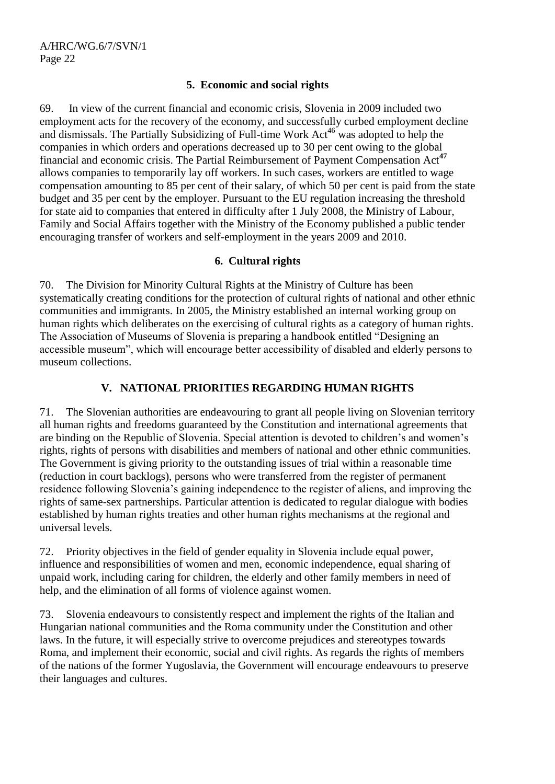## **5. Economic and social rights**

69. In view of the current financial and economic crisis, Slovenia in 2009 included two employment acts for the recovery of the economy, and successfully curbed employment decline and dismissals. The Partially Subsidizing of Full-time Work Act<sup>46</sup> was adopted to help the companies in which orders and operations decreased up to 30 per cent owing to the global financial and economic crisis. The Partial Reimbursement of Payment Compensation Act**<sup>47</sup>** allows companies to temporarily lay off workers. In such cases, workers are entitled to wage compensation amounting to 85 per cent of their salary, of which 50 per cent is paid from the state budget and 35 per cent by the employer. Pursuant to the EU regulation increasing the threshold for state aid to companies that entered in difficulty after 1 July 2008, the Ministry of Labour, Family and Social Affairs together with the Ministry of the Economy published a public tender encouraging transfer of workers and self-employment in the years 2009 and 2010.

## **6. Cultural rights**

70. The Division for Minority Cultural Rights at the Ministry of Culture has been systematically creating conditions for the protection of cultural rights of national and other ethnic communities and immigrants. In 2005, the Ministry established an internal working group on human rights which deliberates on the exercising of cultural rights as a category of human rights. The Association of Museums of Slovenia is preparing a handbook entitled "Designing an accessible museum", which will encourage better accessibility of disabled and elderly persons to museum collections.

# **V. NATIONAL PRIORITIES REGARDING HUMAN RIGHTS**

71. The Slovenian authorities are endeavouring to grant all people living on Slovenian territory all human rights and freedoms guaranteed by the Constitution and international agreements that are binding on the Republic of Slovenia. Special attention is devoted to children's and women's rights, rights of persons with disabilities and members of national and other ethnic communities. The Government is giving priority to the outstanding issues of trial within a reasonable time (reduction in court backlogs), persons who were transferred from the register of permanent residence following Slovenia's gaining independence to the register of aliens, and improving the rights of same-sex partnerships. Particular attention is dedicated to regular dialogue with bodies established by human rights treaties and other human rights mechanisms at the regional and universal levels.

72. Priority objectives in the field of gender equality in Slovenia include equal power, influence and responsibilities of women and men, economic independence, equal sharing of unpaid work, including caring for children, the elderly and other family members in need of help, and the elimination of all forms of violence against women.

73. Slovenia endeavours to consistently respect and implement the rights of the Italian and Hungarian national communities and the Roma community under the Constitution and other laws. In the future, it will especially strive to overcome prejudices and stereotypes towards Roma, and implement their economic, social and civil rights. As regards the rights of members of the nations of the former Yugoslavia, the Government will encourage endeavours to preserve their languages and cultures.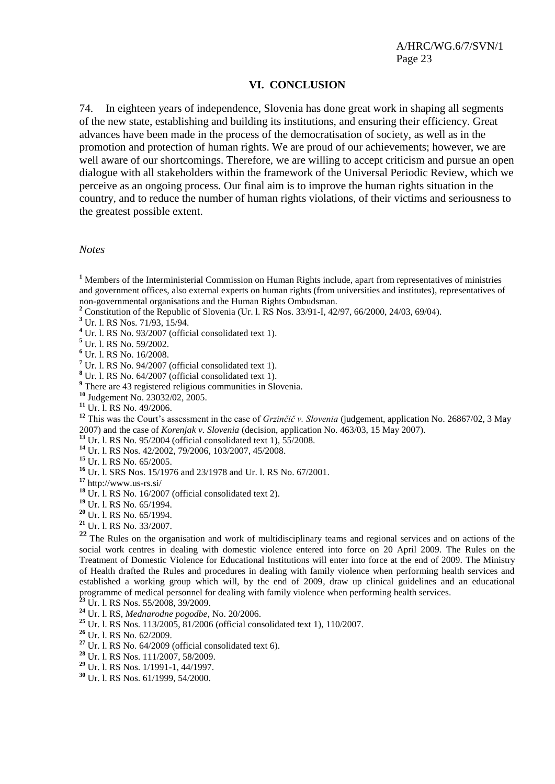#### **VI. CONCLUSION**

74. In eighteen years of independence, Slovenia has done great work in shaping all segments of the new state, establishing and building its institutions, and ensuring their efficiency. Great advances have been made in the process of the democratisation of society, as well as in the promotion and protection of human rights. We are proud of our achievements; however, we are well aware of our shortcomings. Therefore, we are willing to accept criticism and pursue an open dialogue with all stakeholders within the framework of the Universal Periodic Review, which we perceive as an ongoing process. Our final aim is to improve the human rights situation in the country, and to reduce the number of human rights violations, of their victims and seriousness to the greatest possible extent.

*Notes*

**<sup>1</sup>** Members of the Interministerial Commission on Human Rights include, apart from representatives of ministries and government offices, also external experts on human rights (from universities and institutes), representatives of non-governmental organisations and the Human Rights Ombudsman.

**<sup>2</sup>** Constitution of the Republic of Slovenia (Ur. l. RS Nos. 33/91-I, 42/97, 66/2000, 24/03, 69/04).

**<sup>3</sup>** Ur. l. RS Nos. 71/93, 15/94.

**<sup>4</sup>** Ur. l. RS No. 93/2007 (official consolidated text 1).

**<sup>5</sup>** Ur. l. RS No. 59/2002.

**<sup>6</sup>** Ur. l. RS No. 16/2008.

**<sup>7</sup>** Ur. l. RS No. 94/2007 (official consolidated text 1).

**<sup>8</sup>** Ur. l. RS No. 64/2007 (official consolidated text 1).

<sup>9</sup> There are 43 registered religious communities in Slovenia.

**<sup>10</sup>** Judgement No. 23032/02, 2005.

**<sup>11</sup>** Ur. l. RS No. 49/2006.

**<sup>12</sup>** This was the Court's assessment in the case of *Grzinčič v. Slovenia* (judgement, application No. 26867/02, 3 May 2007) and the case of *Korenjak v. Slovenia* (decision, application No. 463/03, 15 May 2007).

**<sup>13</sup>** Ur. l. RS No. 95/2004 (official consolidated text 1), 55/2008.

**<sup>14</sup>** Ur. l. RS Nos. 42/2002, 79/2006, 103/2007, 45/2008.

**<sup>15</sup>** Ur. l. RS No. 65/2005.

**<sup>16</sup>** Ur. l. SRS Nos. 15/1976 and 23/1978 and Ur. l. RS No. 67/2001.

**<sup>17</sup>** [http://www.us-rs.si/](http://www.gov.si/)

**<sup>18</sup>** Ur. l. RS No. 16/2007 (official consolidated text 2).

**<sup>19</sup>** Ur. l. RS No. 65/1994.

**<sup>20</sup>** Ur. l. RS No. 65/1994.

**<sup>21</sup>** Ur. l. RS No. 33/2007.

<sup>22</sup> The Rules on the organisation and work of multidisciplinary teams and regional services and on actions of the social work centres in dealing with domestic violence entered into force on 20 April 2009. The Rules on the Treatment of Domestic Violence for Educational Institutions will enter into force at the end of 2009. The Ministry of Health drafted the Rules and procedures in dealing with family violence when performing health services and established a working group which will, by the end of 2009, draw up clinical guidelines and an educational programme of medical personnel for dealing with family violence when performing health services.

**<sup>23</sup>** Ur. l. RS Nos. 55/2008, 39/2009.

**<sup>24</sup>** Ur. l. RS, *Mednarodne pogodbe*, No. 20/2006.

**<sup>25</sup>** Ur. l. RS Nos. 113/2005, 81/2006 (official consolidated text 1), 110/2007.

**<sup>26</sup>** Ur. l. RS No. 62/2009.

**<sup>27</sup>** Ur. l. RS No. 64/2009 (official consolidated text 6).

**<sup>28</sup>** Ur. l. RS Nos. 111/2007, 58/2009.

**<sup>29</sup>** Ur. l. RS Nos. 1/1991-1, 44/1997.

**<sup>30</sup>** Ur. l. RS Nos. 61/1999, 54/2000.